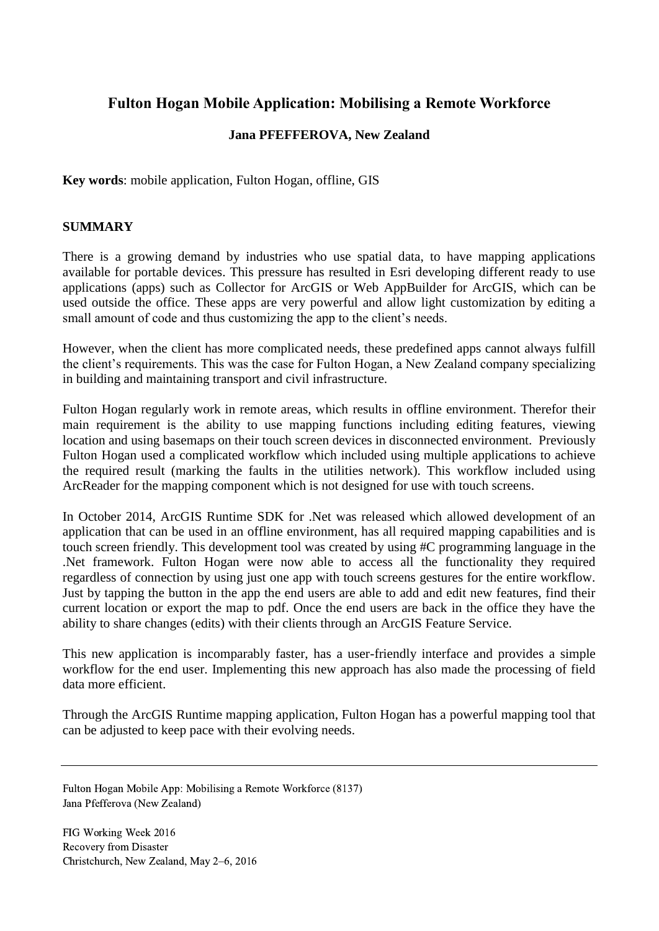# **Fulton Hogan Mobile Application: Mobilising a Remote Workforce**

## **Jana PFEFFEROVA, New Zealand**

**Key words**: mobile application, Fulton Hogan, offline, GIS

# **SUMMARY**

There is a growing demand by industries who use spatial data, to have mapping applications available for portable devices. This pressure has resulted in Esri developing different ready to use applications (apps) such as Collector for ArcGIS or Web AppBuilder for ArcGIS, which can be used outside the office. These apps are very powerful and allow light customization by editing a small amount of code and thus customizing the app to the client's needs.

However, when the client has more complicated needs, these predefined apps cannot always fulfill the client's requirements. This was the case for Fulton Hogan, a New Zealand company specializing in building and maintaining transport and civil infrastructure.

Fulton Hogan regularly work in remote areas, which results in offline environment. Therefor their main requirement is the ability to use mapping functions including editing features, viewing location and using basemaps on their touch screen devices in disconnected environment. Previously Fulton Hogan used a complicated workflow which included using multiple applications to achieve the required result (marking the faults in the utilities network). This workflow included using ArcReader for the mapping component which is not designed for use with touch screens.

In October 2014, ArcGIS Runtime SDK for .Net was released which allowed development of an application that can be used in an offline environment, has all required mapping capabilities and is touch screen friendly. This development tool was created by using #C programming language in the .Net framework. Fulton Hogan were now able to access all the functionality they required regardless of connection by using just one app with touch screens gestures for the entire workflow. Just by tapping the button in the app the end users are able to add and edit new features, find their current location or export the map to pdf. Once the end users are back in the office they have the ability to share changes (edits) with their clients through an ArcGIS Feature Service.

This new application is incomparably faster, has a user-friendly interface and provides a simple workflow for the end user. Implementing this new approach has also made the processing of field data more efficient.

Through the ArcGIS Runtime mapping application, Fulton Hogan has a powerful mapping tool that can be adjusted to keep pace with their evolving needs.

Fulton Hogan Mobile App: Mobilising a Remote Workforce (8137) Jana Pfefferova (New Zealand)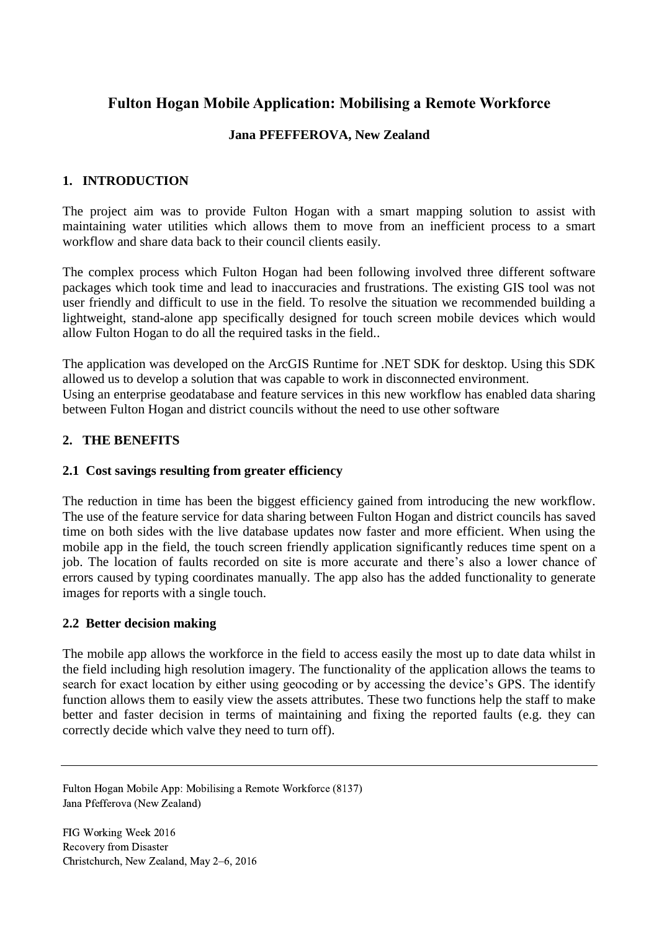# **Fulton Hogan Mobile Application: Mobilising a Remote Workforce**

# **Jana PFEFFEROVA, New Zealand**

# **1. INTRODUCTION**

The project aim was to provide Fulton Hogan with a smart mapping solution to assist with maintaining water utilities which allows them to move from an inefficient process to a smart workflow and share data back to their council clients easily.

The complex process which Fulton Hogan had been following involved three different software packages which took time and lead to inaccuracies and frustrations. The existing GIS tool was not user friendly and difficult to use in the field. To resolve the situation we recommended building a lightweight, stand-alone app specifically designed for touch screen mobile devices which would allow Fulton Hogan to do all the required tasks in the field..

The application was developed on the ArcGIS Runtime for .NET SDK for desktop. Using this SDK allowed us to develop a solution that was capable to work in disconnected environment. Using an enterprise geodatabase and feature services in this new workflow has enabled data sharing between Fulton Hogan and district councils without the need to use other software

# **2. THE BENEFITS**

## **2.1 Cost savings resulting from greater efficiency**

The reduction in time has been the biggest efficiency gained from introducing the new workflow. The use of the feature service for data sharing between Fulton Hogan and district councils has saved time on both sides with the live database updates now faster and more efficient. When using the mobile app in the field, the touch screen friendly application significantly reduces time spent on a job. The location of faults recorded on site is more accurate and there's also a lower chance of errors caused by typing coordinates manually. The app also has the added functionality to generate images for reports with a single touch.

## **2.2 Better decision making**

The mobile app allows the workforce in the field to access easily the most up to date data whilst in the field including high resolution imagery. The functionality of the application allows the teams to search for exact location by either using geocoding or by accessing the device's GPS. The identify function allows them to easily view the assets attributes. These two functions help the staff to make better and faster decision in terms of maintaining and fixing the reported faults (e.g. they can correctly decide which valve they need to turn off).

Fulton Hogan Mobile App: Mobilising a Remote Workforce (8137) Jana Pfefferova (New Zealand)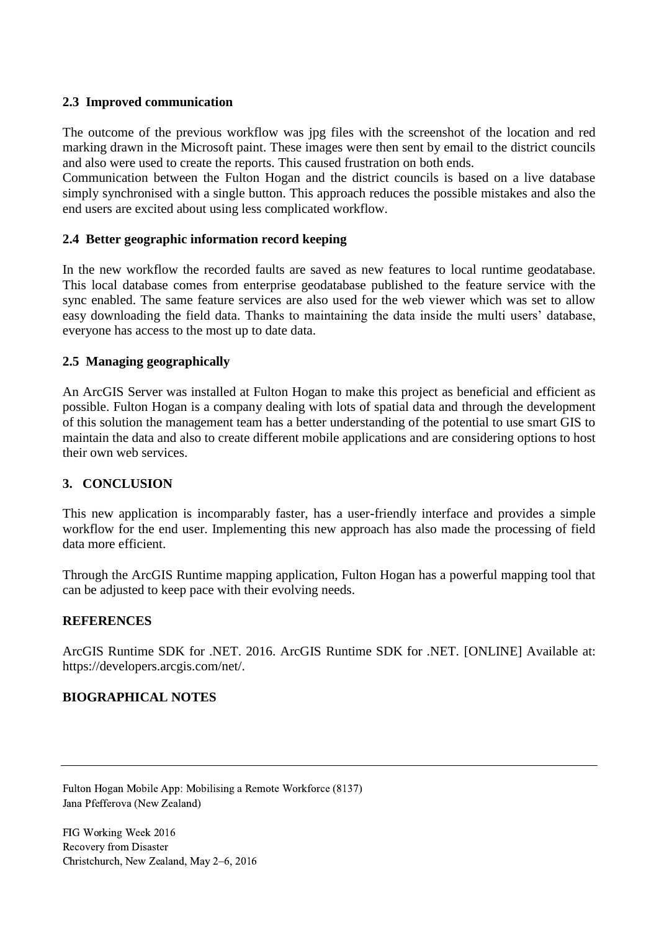#### **2.3 Improved communication**

The outcome of the previous workflow was jpg files with the screenshot of the location and red marking drawn in the Microsoft paint. These images were then sent by email to the district councils and also were used to create the reports. This caused frustration on both ends.

Communication between the Fulton Hogan and the district councils is based on a live database simply synchronised with a single button. This approach reduces the possible mistakes and also the end users are excited about using less complicated workflow.

#### **2.4 Better geographic information record keeping**

In the new workflow the recorded faults are saved as new features to local runtime geodatabase. This local database comes from enterprise geodatabase published to the feature service with the sync enabled. The same feature services are also used for the web viewer which was set to allow easy downloading the field data. Thanks to maintaining the data inside the multi users' database, everyone has access to the most up to date data.

#### **2.5 Managing geographically**

An ArcGIS Server was installed at Fulton Hogan to make this project as beneficial and efficient as possible. Fulton Hogan is a company dealing with lots of spatial data and through the development of this solution the management team has a better understanding of the potential to use smart GIS to maintain the data and also to create different mobile applications and are considering options to host their own web services.

## **3. CONCLUSION**

This new application is incomparably faster, has a user-friendly interface and provides a simple workflow for the end user. Implementing this new approach has also made the processing of field data more efficient.

Through the ArcGIS Runtime mapping application, Fulton Hogan has a powerful mapping tool that can be adjusted to keep pace with their evolving needs.

#### **REFERENCES**

ArcGIS Runtime SDK for .NET. 2016. ArcGIS Runtime SDK for .NET. [ONLINE] Available at: https://developers.arcgis.com/net/.

## **BIOGRAPHICAL NOTES**

Fulton Hogan Mobile App: Mobilising a Remote Workforce (8137) Jana Pfefferova (New Zealand)